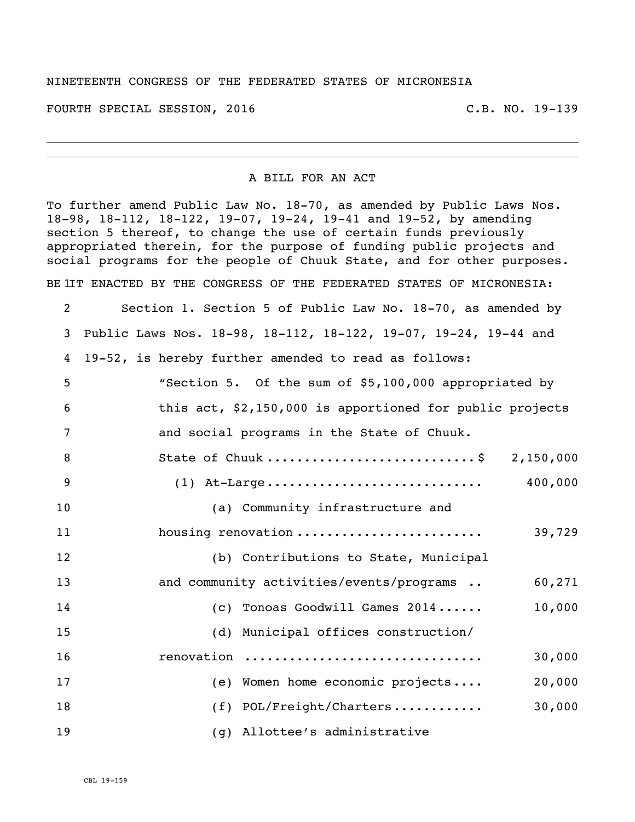## NINETEENTH CONGRESS OF THE FEDERATED STATES OF MICRONESIA

FOURTH SPECIAL SESSION, 2016 C.B. NO. 19-139

## A BILL FOR AN ACT

To further amend Public Law No. 18-70, as amended by Public Laws Nos. 18-98, 18-112, 18-122, 19-07, 19-24, 19-41 and 19-52, by amending section 5 thereof, to change the use of certain funds previously appropriated therein, for the purpose of funding public projects and social programs for the people of Chuuk State, and for other purposes. BE IIT ENACTED BY THE CONGRESS OF THE FEDERATED STATES OF MICRONESIA:

| 2  | Section 1. Section 5 of Public Law No. 18-70, as amended by     |
|----|-----------------------------------------------------------------|
| 3  | Public Laws Nos. 18-98, 18-112, 18-122, 19-07, 19-24, 19-44 and |
| 4  | 19-52, is hereby further amended to read as follows:            |
| 5  | "Section 5. Of the sum of \$5,100,000 appropriated by           |
| 6  | this act, \$2,150,000 is apportioned for public projects        |
| 7  | and social programs in the State of Chuuk.                      |
| 8  | State of Chuuk \$ 2,150,000                                     |
| 9  | 400,000                                                         |
| 10 | (a) Community infrastructure and                                |
| 11 | housing renovation<br>39,729                                    |
| 12 | (b) Contributions to State, Municipal                           |
| 13 | and community activities/events/programs<br>60,271              |
| 14 | 10,000<br>(c) Tonoas Goodwill Games 2014                        |
| 15 | (d) Municipal offices construction/                             |
| 16 | 30,000<br>renovation                                            |
| 17 | 20,000<br>(e) Women home economic projects                      |
| 18 | (f) POL/Freight/Charters<br>30,000                              |
| 19 | (g) Allottee's administrative                                   |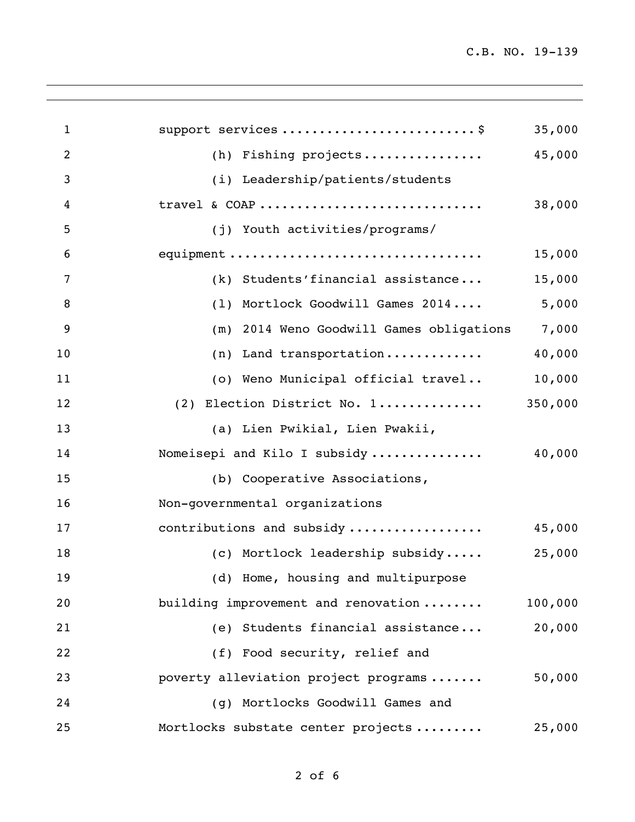C.B. NO. 19-139

| $\mathbf{1}$   | support services \$                      | 35,000  |
|----------------|------------------------------------------|---------|
| $\overline{2}$ | (h) Fishing projects                     | 45,000  |
| 3              | (i) Leadership/patients/students         |         |
| 4              | travel & COAP                            | 38,000  |
| 5              | (j) Youth activities/programs/           |         |
| 6              | equipment                                | 15,000  |
| 7              | (k) Students'financial assistance        | 15,000  |
| 8              | (1) Mortlock Goodwill Games 2014         | 5,000   |
| 9              | (m) 2014 Weno Goodwill Games obligations | 7,000   |
| 10             | (n) Land transportation                  | 40,000  |
| 11             | (o) Weno Municipal official travel       | 10,000  |
| 12             | (2) Election District No. 1              | 350,000 |
| 13             | (a) Lien Pwikial, Lien Pwakii,           |         |
| 14             | Nomeisepi and Kilo I subsidy             | 40,000  |
| 15             | (b) Cooperative Associations,            |         |
| 16             | Non-governmental organizations           |         |
| 17             | contributions and subsidy                | 45,000  |
| 18             | (c) Mortlock leadership subsidy          | 25,000  |
| 19             | (d) Home, housing and multipurpose       |         |
| 20             | building improvement and renovation      | 100,000 |
| 21             | (e) Students financial assistance        | 20,000  |
| 22             | (f) Food security, relief and            |         |
| 23             | poverty alleviation project programs     | 50,000  |
| 24             | (g) Mortlocks Goodwill Games and         |         |
| 25             | Mortlocks substate center projects       | 25,000  |
|                |                                          |         |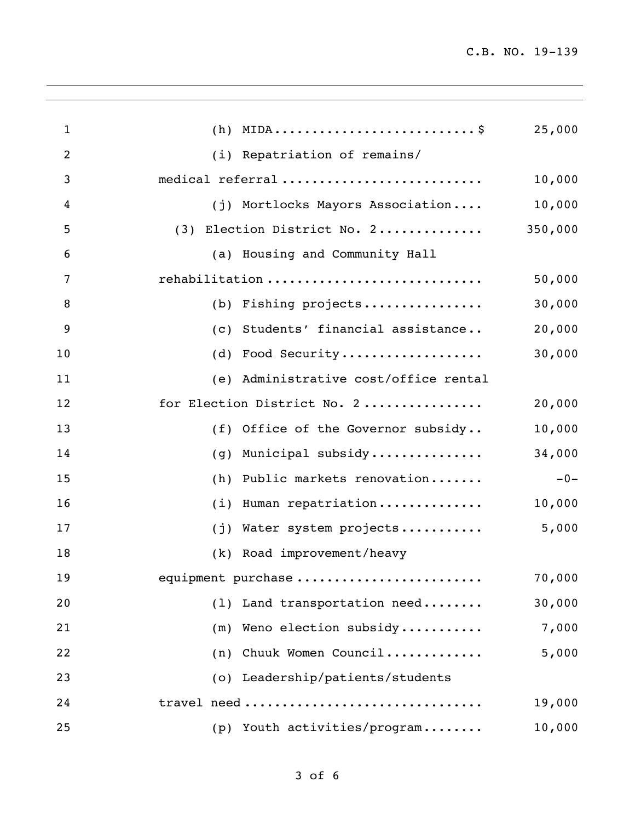| $\mathbf{1}$ |                                       | 25,000  |
|--------------|---------------------------------------|---------|
| 2            | (i) Repatriation of remains/          |         |
| 3            | medical referral                      | 10,000  |
| 4            | (j) Mortlocks Mayors Association      | 10,000  |
| 5            | (3) Election District No. 2           | 350,000 |
| 6            | (a) Housing and Community Hall        |         |
| 7            | rehabilitation                        | 50,000  |
| 8            | (b) Fishing projects                  | 30,000  |
| 9            | (c) Students' financial assistance    | 20,000  |
| 10           | (d) Food Security                     | 30,000  |
| 11           | (e) Administrative cost/office rental |         |
| 12           | for Election District No. 2           | 20,000  |
| 13           | (f) Office of the Governor subsidy    | 10,000  |
| 14           | Municipal subsidy<br>(q)              | 34,000  |
| 15           | Public markets renovation<br>(h)      | $-0-$   |
| 16           | Human repatriation<br>(i)             | 10,000  |
| 17           | (j) Water system projects             | 5,000   |
| 18           | (k) Road improvement/heavy            |         |
| 19           | equipment purchase                    | 70,000  |
| 20           | (1) Land transportation need          | 30,000  |
| 21           | (m) Weno election subsidy             | 7,000   |
| 22           | (n) Chuuk Women Council               | 5,000   |
| 23           | (o) Leadership/patients/students      |         |
| 24           | travel need                           | 19,000  |
| 25           | (p) Youth activities/program          | 10,000  |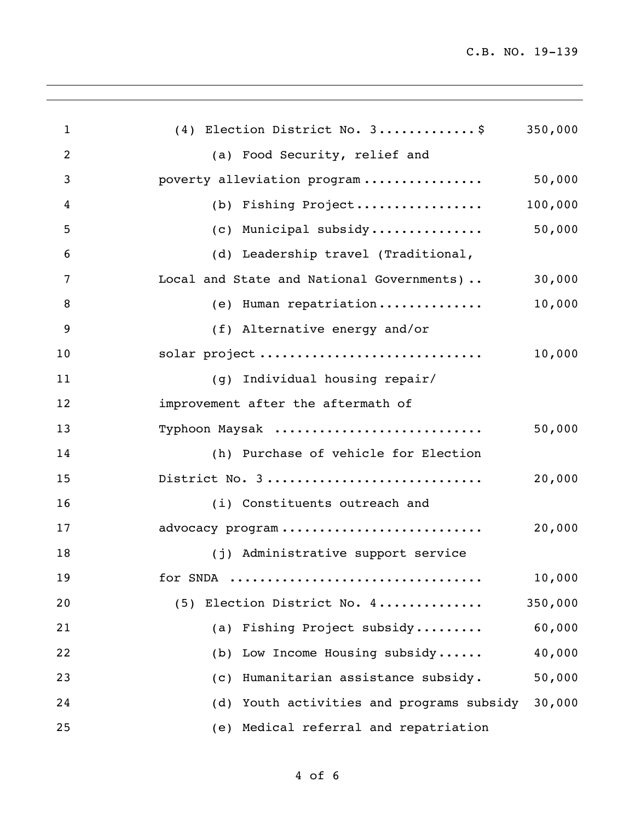C.B. NO. 19-139

| $\mathbf{1}$ | (4) Election District No. 3\$             | 350,000 |
|--------------|-------------------------------------------|---------|
| 2            | (a) Food Security, relief and             |         |
| 3            | poverty alleviation program               | 50,000  |
| 4            | (b) Fishing Project                       | 100,000 |
| 5            | (c) Municipal subsidy                     | 50,000  |
| 6            | (d) Leadership travel (Traditional,       |         |
| 7            | Local and State and National Governments) | 30,000  |
| 8            | (e) Human repatriation                    | 10,000  |
| 9            | (f) Alternative energy and/or             |         |
| 10           | solar project                             | 10,000  |
| 11           | (g) Individual housing repair/            |         |
| 12           | improvement after the aftermath of        |         |
| 13           | Typhoon Maysak                            | 50,000  |
| 14           | (h) Purchase of vehicle for Election      |         |
| 15           | District No. 3                            | 20,000  |
| 16           | (i) Constituents outreach and             |         |
| 17           | advocacy program                          | 20,000  |
| 18           | (j) Administrative support service        |         |
| 19           | for SNDA                                  | 10,000  |
| 20           | (5) Election District No. 4               | 350,000 |
| 21           | (a) Fishing Project subsidy               | 60,000  |
| 22           | (b) Low Income Housing subsidy            | 40,000  |
| 23           | (c) Humanitarian assistance subsidy.      | 50,000  |
| 24           | (d) Youth activities and programs subsidy | 30,000  |
| 25           | (e) Medical referral and repatriation     |         |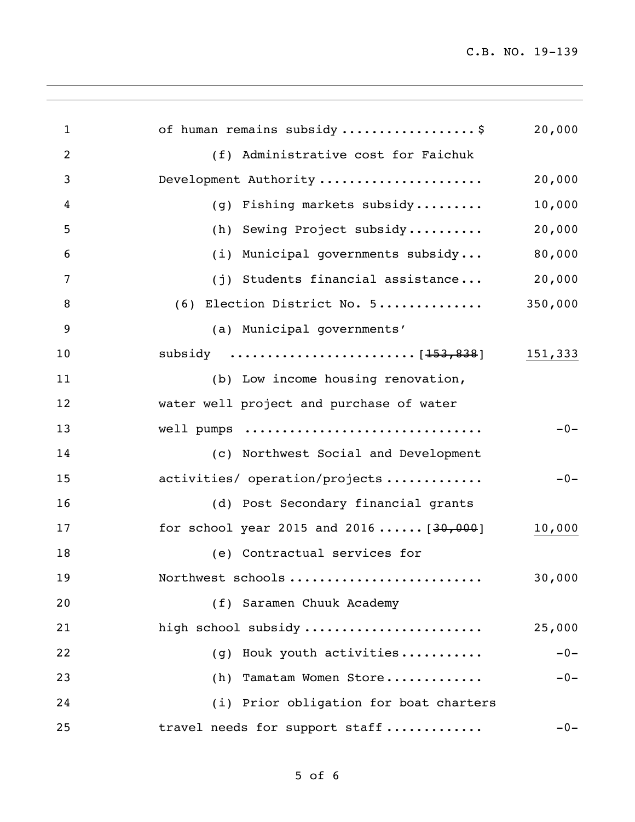C.B. NO. 19-139

| $\mathbf{1}$   | of human remains subsidy\$                | 20,000  |
|----------------|-------------------------------------------|---------|
| $\overline{2}$ | (f) Administrative cost for Faichuk       |         |
| 3              | Development Authority                     | 20,000  |
| 4              | (g) Fishing markets subsidy               | 10,000  |
| 5              | (h) Sewing Project subsidy                | 20,000  |
| 6              | (i) Municipal governments subsidy         | 80,000  |
| 7              | (j) Students financial assistance         | 20,000  |
| 8              | (6) Election District No. 5               | 350,000 |
| 9              | (a) Municipal governments'                |         |
| 10             |                                           | 151,333 |
| 11             | (b) Low income housing renovation,        |         |
| 12             | water well project and purchase of water  |         |
| 13             | well pumps                                | $-0-$   |
| 14             | (c) Northwest Social and Development      |         |
| 15             | activities/ operation/projects            | $-0-$   |
| 16             | (d) Post Secondary financial grants       |         |
| 17             | for school year 2015 and 2016 $[30, 000]$ | 10,000  |
| 18             | (e) Contractual services for              |         |
| 19             | Northwest schools                         | 30,000  |
| 20             | (f) Saramen Chuuk Academy                 |         |
| 21             | high school subsidy                       | 25,000  |
| 22             | Houk youth activities<br>(q)              | $-0-$   |
| 23             | Tamatam Women Store<br>(h)                | $-0-$   |
| 24             | (i) Prior obligation for boat charters    |         |
| 25             | travel needs for support staff            | $-0-$   |